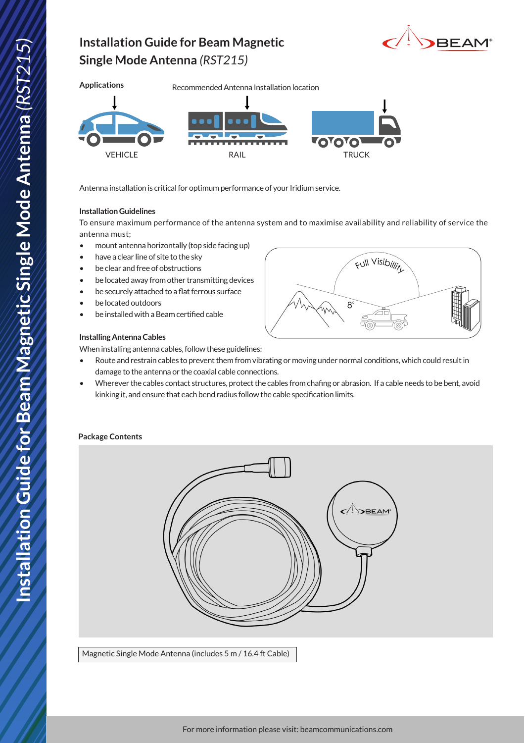# DBEAM®

## **Single Mode Antenna** *(RST215)*

**Installation Guide for Beam Magnetic** 



Antenna installation is critical for optimum performance of your Iridium service.

#### **Installation Guidelines**

To ensure maximum performance of the antenna system and to maximise availability and reliability of service the antenna must;

- mount antenna horizontally (top side facing up)
- have a clear line of site to the sky
- be clear and free of obstructions
- be located away from other transmitting devices
- be securely attached to a flat ferrous surface
- be located outdoors
- be installed with a Beam certified cable

#### **Installing Antenna Cables**

When installing antenna cables, follow these guidelines:

- Route and restrain cables to prevent them from vibrating or moving under normal conditions, which could result in damage to the antenna or the coaxial cable connections.
- Wherever the cables contact structures, protect the cables from chafing or abrasion. If a cable needs to be bent, avoid kinking it, and ensure that each bend radius follow the cable specification limits.

#### **Package Contents**



Magnetic Single Mode Antenna (includes 5 m / 16.4 ft Cable)



Full Visibillit